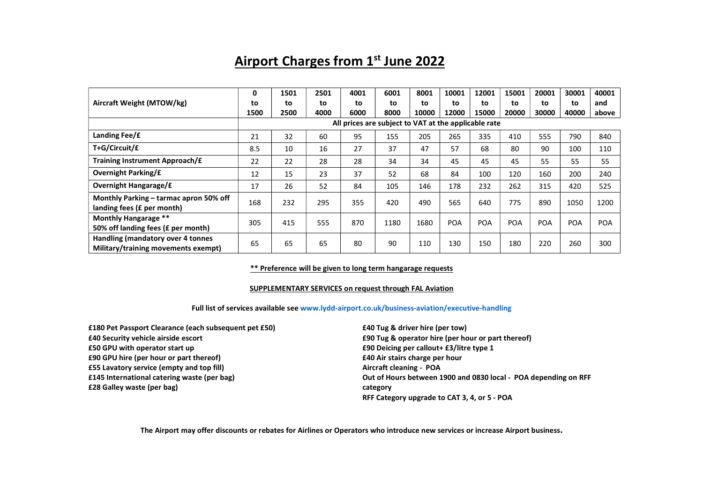# Airport Charges from 1st June 2022

|                                                                          | 0                                                    | 1501 | 2501 | 4001 | 6001 | 8001  | 10001      | 12001      | 15001      | 20001      | 30001      | 40001 |
|--------------------------------------------------------------------------|------------------------------------------------------|------|------|------|------|-------|------------|------------|------------|------------|------------|-------|
| Aircraft Weight (MTOW/kg)                                                | to                                                   | to   | to   | to   | to   | to    | to         | to         | to         | to         | to         | and   |
|                                                                          | 1500                                                 | 2500 | 4000 | 6000 | 8000 | 10000 | 12000      | 15000      | 20000      | 30000      | 40000      | above |
|                                                                          | All prices are subject to VAT at the applicable rate |      |      |      |      |       |            |            |            |            |            |       |
| Landing Fee/£                                                            | 21                                                   | 32   | 60   | 95   | 155  | 205   | 265        | 335        | 410        | 555        | 790        | 840   |
| T+G/Circuit/£                                                            | 8.5                                                  | 10   | 16   | 27   | 37   | 47    | 57         | 68         | 80         | 90         | 100        | 110   |
| Training Instrument Approach/£                                           | 22                                                   | 22   | 28   | 28   | 34   | 34    | 45         | 45         | 45         | 55         | 55         | 55    |
| <b>Overnight Parking/£</b>                                               | 12                                                   | 15   | 23   | 37   | 52   | 68    | 84         | 100        | 120        | 160        | 200        | 240   |
| <b>Overnight Hangarage/£</b>                                             | 17                                                   | 26   | 52   | 84   | 105  | 146   | 178        | 232        | 262        | 315        | 420        | 525   |
| Monthly Parking - tarmac apron 50% off                                   | 168                                                  | 232  | 295  | 355  | 420  | 490   | 565        | 640        | 775        | 890        | 1050       | 1200  |
| landing fees (£ per month)                                               |                                                      |      |      |      |      |       |            |            |            |            |            |       |
| Monthly Hangarage **                                                     | 305                                                  | 415  | 555  | 870  | 1180 | 1680  | <b>POA</b> | <b>POA</b> | <b>POA</b> | <b>POA</b> | <b>POA</b> | POA   |
| 50% off landing fees (£ per month)                                       |                                                      |      |      |      |      |       |            |            |            |            |            |       |
| Handling (mandatory over 4 tonnes<br>Military/training movements exempt) | 65                                                   | 65   | 65   | 80   | 90   | 110   | 130        | 150        | 180        | 220        | 260        | 300   |

# \*\* Preference will be given to long term hangarage requests

#### SUPPLEMENTARY SERVICES on request through FAL Aviation

# Full list of services available see www.lydd-airport.co.uk/business-aviation/executive-handling

£180 Pet Passport Clearance (each subsequent pet £50) £40 Security vehicle airside escort £50 GPU with operator start up £90 GPU hire (per hour or part thereof) £55 Lavatory service (empty and top fill) £145 International catering waste (per bag) £28 Galley waste (per bag) category

£40 Tug & driver hire (per tow) £90 Tug & operator hire (per hour or part thereof) £90 Deicing per callout+ £3/litre type 1 £40 Air stairs charge per hour Aircraft cleaning - POA Out of Hours between 1900 and 0830 local - POA depending on RFF RFF Category upgrade to CAT 3, 4, or 5 - POA

The Airport may offer discounts or rebates for Airlines or Operators who introduce new services or increase Airport business.